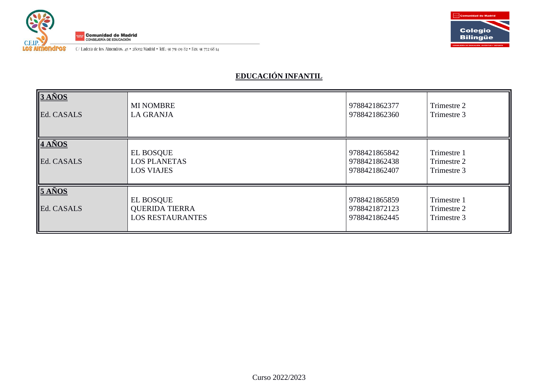

C/ Ladera de los Almendros. 45 · 28032 Madrid · Telf.: 91 751 09 82 · Fax: 91 772 68 14



# **EDUCACIÓN INFANTIL**

| $3A\tilde{N}OS$<br>Ed. CASALS   | <b>MI NOMBRE</b><br><b>LA GRANJA</b>                                 | 9788421862377<br>9788421862360                  | Trimestre 2<br>Trimestre 3                |
|---------------------------------|----------------------------------------------------------------------|-------------------------------------------------|-------------------------------------------|
| $4 A\tilde{N}OS$<br>Ed. CASALS  | <b>EL BOSQUE</b><br><b>LOS PLANETAS</b><br><b>LOS VIAJES</b>         | 9788421865842<br>9788421862438<br>9788421862407 | Trimestre 1<br>Trimestre 2<br>Trimestre 3 |
| $5 A\tilde{N}$ OS<br>Ed. CASALS | <b>EL BOSQUE</b><br><b>QUERIDA TIERRA</b><br><b>LOS RESTAURANTES</b> | 9788421865859<br>9788421872123<br>9788421862445 | Trimestre 1<br>Trimestre 2<br>Trimestre 3 |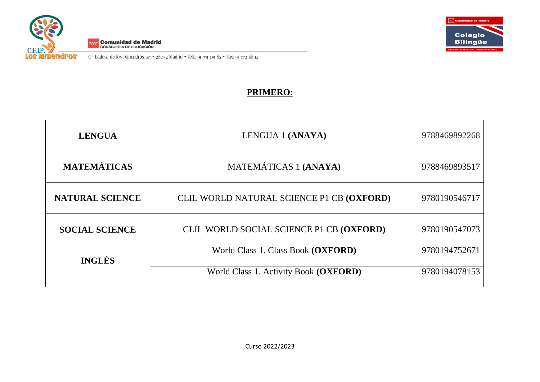



C/ Ladera de los Almendros. 45 · 28032 Madrid · Telf.: 91 751 09 82 · Fax: 91 772 68 14

## **PRIMERO:**

| <b>LENGUA</b>          | LENGUA 1 (ANAYA)                          | 9788469892268 |
|------------------------|-------------------------------------------|---------------|
| <b>MATEMÁTICAS</b>     | MATEMÁTICAS 1 (ANAYA)                     | 9788469893517 |
| <b>NATURAL SCIENCE</b> | CLIL WORLD NATURAL SCIENCE P1 CB (OXFORD) | 9780190546717 |
| <b>SOCIAL SCIENCE</b>  | CLIL WORLD SOCIAL SCIENCE P1 CB (OXFORD)  | 9780190547073 |
| <b>INGLÉS</b>          | World Class 1. Class Book (OXFORD)        | 9780194752671 |
|                        | World Class 1. Activity Book (OXFORD)     | 9780194078153 |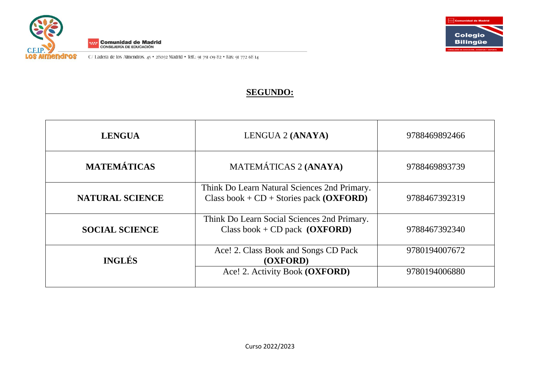



C/ Ladera de los Almendros. 45 · 28032 Madrid · Telf.: 91 751 09 82 · Fax: 91 772 68 14

## **SEGUNDO:**

| <b>LENGUA</b>          | LENGUA 2 (ANAYA)                                                                          | 9788469892466 |
|------------------------|-------------------------------------------------------------------------------------------|---------------|
| <b>MATEMÁTICAS</b>     | MATEMÁTICAS 2 (ANAYA)                                                                     | 9788469893739 |
| <b>NATURAL SCIENCE</b> | Think Do Learn Natural Sciences 2nd Primary.<br>Class book + $CD$ + Stories pack (OXFORD) | 9788467392319 |
| <b>SOCIAL SCIENCE</b>  | Think Do Learn Social Sciences 2nd Primary.<br>Class book + CD pack $(OXFORM)$            | 9788467392340 |
| <b>INGLÉS</b>          | Ace! 2. Class Book and Songs CD Pack<br>(OXFORD)                                          | 9780194007672 |
|                        | Ace! 2. Activity Book (OXFORD)                                                            | 9780194006880 |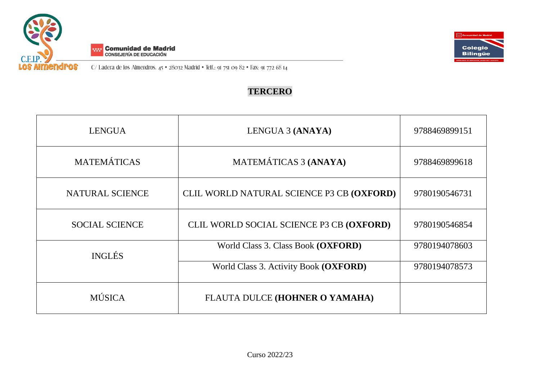



C/Ladera de los Almendros. 45 · 28032 Madrid · Telf.: 91 751 09 82 · Fax: 91 772 68 14

## **TERCERO**

| <b>LENGUA</b>          | LENGUA 3 (ANAYA)                          | 9788469899151 |
|------------------------|-------------------------------------------|---------------|
| <b>MATEMÁTICAS</b>     | MATEMÁTICAS 3 (ANAYA)                     | 9788469899618 |
| <b>NATURAL SCIENCE</b> | CLIL WORLD NATURAL SCIENCE P3 CB (OXFORD) | 9780190546731 |
| <b>SOCIAL SCIENCE</b>  | CLIL WORLD SOCIAL SCIENCE P3 CB (OXFORD)  | 9780190546854 |
| <b>INGLÉS</b>          | World Class 3. Class Book (OXFORD)        | 9780194078603 |
|                        | World Class 3. Activity Book (OXFORD)     | 9780194078573 |
| <b>MÚSICA</b>          | FLAUTA DULCE (HOHNER O YAMAHA)            |               |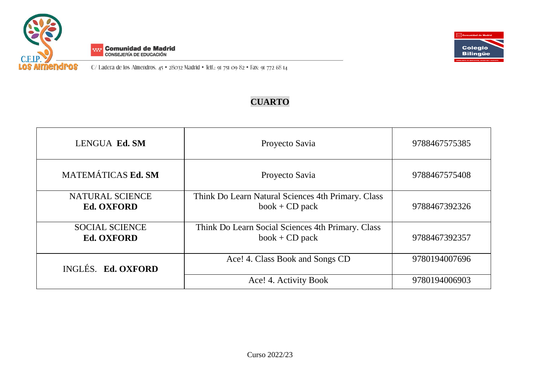





## **CUARTO**

| LENGUA Ed. SM                              | Proyecto Savia                                                         | 9788467575385 |
|--------------------------------------------|------------------------------------------------------------------------|---------------|
| MATEMÁTICAS Ed. SM                         | Proyecto Savia                                                         | 9788467575408 |
| NATURAL SCIENCE<br><b>Ed. OXFORD</b>       | Think Do Learn Natural Sciences 4th Primary. Class<br>$book + CD$ pack | 9788467392326 |
| <b>SOCIAL SCIENCE</b><br><b>Ed. OXFORD</b> | Think Do Learn Social Sciences 4th Primary. Class<br>$book + CD$ pack  | 9788467392357 |
| INGLÉS. Ed. OXFORD                         | Ace! 4. Class Book and Songs CD                                        | 9780194007696 |
|                                            | Ace! 4. Activity Book                                                  | 9780194006903 |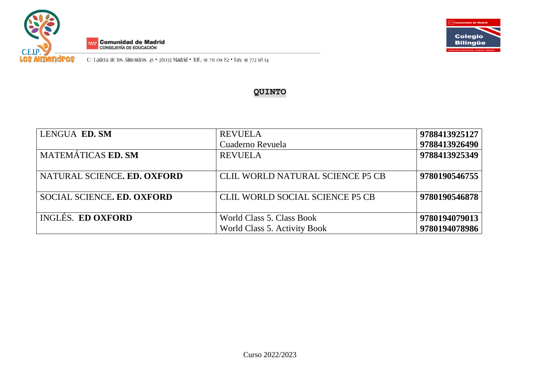



C/Ladera de los Almendros. 45 · 28032 Madrid · Telf.: 91 751 09 82 · Fax: 91 772 68 14

### **QUINTO**

| LENGUA ED. SM               | <b>REVUELA</b>                   | 9788413925127 |
|-----------------------------|----------------------------------|---------------|
|                             | Cuaderno Revuela                 | 9788413926490 |
| <b>MATEMÁTICAS ED. SM</b>   | <b>REVUELA</b>                   | 9788413925349 |
|                             |                                  |               |
| NATURAL SCIENCE. ED. OXFORD | CLIL WORLD NATURAL SCIENCE P5 CB | 9780190546755 |
|                             |                                  |               |
| SOCIAL SCIENCE. ED. OXFORD  | CLIL WORLD SOCIAL SCIENCE P5 CB  | 9780190546878 |
|                             |                                  |               |
| <b>INGLÉS. ED OXFORD</b>    | World Class 5. Class Book        | 9780194079013 |
|                             | World Class 5. Activity Book     | 9780194078986 |